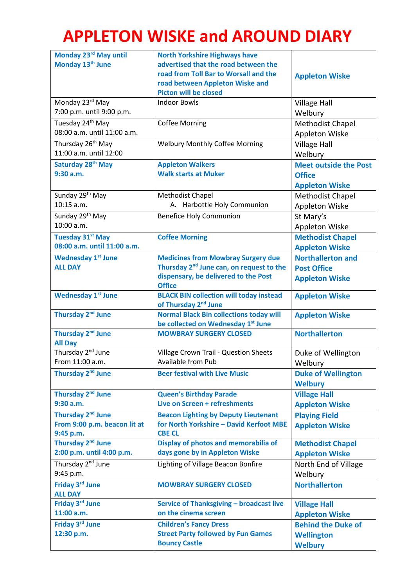## **APPLETON WISKE and AROUND DIARY**

| Monday 23rd May until         | <b>North Yorkshire Highways have</b>                                |                              |
|-------------------------------|---------------------------------------------------------------------|------------------------------|
| Monday 13 <sup>th</sup> June  | advertised that the road between the                                |                              |
|                               | road from Toll Bar to Worsall and the                               | <b>Appleton Wiske</b>        |
|                               | road between Appleton Wiske and                                     |                              |
|                               | <b>Picton will be closed</b>                                        |                              |
| Monday 23rd May               | <b>Indoor Bowls</b>                                                 | <b>Village Hall</b>          |
| 7:00 p.m. until 9:00 p.m.     |                                                                     | Welbury                      |
| Tuesday 24 <sup>th</sup> May  | <b>Coffee Morning</b>                                               | Methodist Chapel             |
| 08:00 a.m. until 11:00 a.m.   |                                                                     | Appleton Wiske               |
| Thursday 26 <sup>th</sup> May | <b>Welbury Monthly Coffee Morning</b>                               | <b>Village Hall</b>          |
| 11:00 a.m. until 12:00        |                                                                     | Welbury                      |
| Saturday 28 <sup>th</sup> May | <b>Appleton Walkers</b>                                             | <b>Meet outside the Post</b> |
| 9:30 a.m.                     | <b>Walk starts at Muker</b>                                         | <b>Office</b>                |
|                               |                                                                     | <b>Appleton Wiske</b>        |
| Sunday 29 <sup>th</sup> May   | Methodist Chapel                                                    | Methodist Chapel             |
| 10:15 a.m.                    | A. Harbottle Holy Communion                                         | Appleton Wiske               |
| Sunday 29 <sup>th</sup> May   | <b>Benefice Holy Communion</b>                                      | St Mary's                    |
| 10:00 a.m.                    |                                                                     | Appleton Wiske               |
| <b>Tuesday 31st May</b>       | <b>Coffee Morning</b>                                               | <b>Methodist Chapel</b>      |
| 08:00 a.m. until 11:00 a.m.   |                                                                     | <b>Appleton Wiske</b>        |
| <b>Wednesday 1st June</b>     | <b>Medicines from Mowbray Surgery due</b>                           | <b>Northallerton and</b>     |
| <b>ALL DAY</b>                | Thursday 2 <sup>nd</sup> June can, on request to the                | <b>Post Office</b>           |
|                               | dispensary, be delivered to the Post                                | <b>Appleton Wiske</b>        |
|                               | <b>Office</b>                                                       |                              |
| <b>Wednesday 1st June</b>     | <b>BLACK BIN collection will today instead</b>                      | <b>Appleton Wiske</b>        |
|                               | of Thursday 2 <sup>nd</sup> June                                    |                              |
| Thursday 2 <sup>nd</sup> June | <b>Normal Black Bin collections today will</b>                      | <b>Appleton Wiske</b>        |
| Thursday 2 <sup>nd</sup> June | be collected on Wednesday 1st June<br><b>MOWBRAY SURGERY CLOSED</b> | <b>Northallerton</b>         |
| <b>All Day</b>                |                                                                     |                              |
| Thursday 2 <sup>nd</sup> June | Village Crown Trail - Question Sheets                               | Duke of Wellington           |
| From 11:00 a.m.               | Available from Pub                                                  | Welbury                      |
| Thursday 2 <sup>nd</sup> June | <b>Beer festival with Live Music</b>                                | <b>Duke of Wellington</b>    |
|                               |                                                                     | <b>Welbury</b>               |
| Thursday 2 <sup>nd</sup> June | <b>Queen's Birthday Parade</b>                                      | <b>Village Hall</b>          |
| 9:30 a.m.                     | Live on Screen + refreshments                                       | <b>Appleton Wiske</b>        |
| Thursday 2 <sup>nd</sup> June | <b>Beacon Lighting by Deputy Lieutenant</b>                         | <b>Playing Field</b>         |
| From 9:00 p.m. beacon lit at  | for North Yorkshire - David Kerfoot MBE                             | <b>Appleton Wiske</b>        |
| 9:45 p.m.                     | <b>CBE CL</b>                                                       |                              |
| Thursday 2 <sup>nd</sup> June | Display of photos and memorabilia of                                | <b>Methodist Chapel</b>      |
| 2:00 p.m. until 4:00 p.m.     | days gone by in Appleton Wiske                                      | <b>Appleton Wiske</b>        |
| Thursday 2 <sup>nd</sup> June | Lighting of Village Beacon Bonfire                                  | North End of Village         |
| 9:45 p.m.                     |                                                                     | Welbury                      |
| Friday 3rd June               | <b>MOWBRAY SURGERY CLOSED</b>                                       | <b>Northallerton</b>         |
| <b>ALL DAY</b>                |                                                                     |                              |
| Friday 3rd June               | Service of Thanksgiving - broadcast live                            | <b>Village Hall</b>          |
| 11:00 a.m.                    | on the cinema screen                                                | <b>Appleton Wiske</b>        |
| Friday 3rd June               | <b>Children's Fancy Dress</b>                                       | <b>Behind the Duke of</b>    |
| 12:30 p.m.                    | <b>Street Party followed by Fun Games</b>                           | <b>Wellington</b>            |
|                               | <b>Bouncy Castle</b>                                                | <b>Welbury</b>               |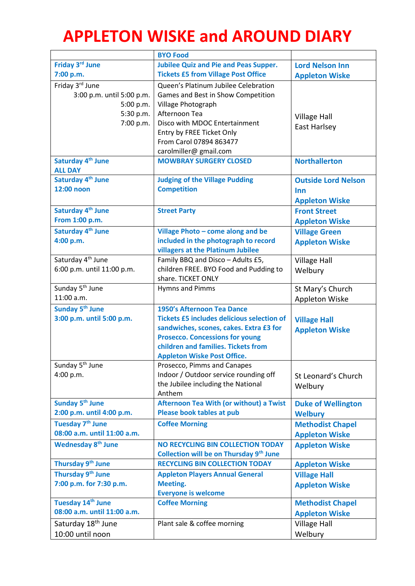## **APPLETON WISKE and AROUND DIARY**

|                                | <b>BYO Food</b>                                   |                            |
|--------------------------------|---------------------------------------------------|----------------------------|
| Friday 3rd June                | <b>Jubilee Quiz and Pie and Peas Supper.</b>      | <b>Lord Nelson Inn</b>     |
| 7:00 p.m.                      | <b>Tickets £5 from Village Post Office</b>        | <b>Appleton Wiske</b>      |
| Friday 3rd June                | Queen's Platinum Jubilee Celebration              |                            |
| 3:00 p.m. until 5:00 p.m.      | Games and Best in Show Competition                |                            |
| 5:00 p.m.                      | Village Photograph                                |                            |
| 5:30 p.m.                      | Afternoon Tea                                     | <b>Village Hall</b>        |
| 7:00 p.m.                      | Disco with MDOC Entertainment                     | East Harlsey               |
|                                | Entry by FREE Ticket Only                         |                            |
|                                | From Carol 07894 863477                           |                            |
|                                | carolmiller@ gmail.com                            |                            |
| Saturday 4 <sup>th</sup> June  | <b>MOWBRAY SURGERY CLOSED</b>                     | <b>Northallerton</b>       |
| <b>ALL DAY</b>                 |                                                   |                            |
| Saturday 4 <sup>th</sup> June  | <b>Judging of the Village Pudding</b>             | <b>Outside Lord Nelson</b> |
| 12:00 noon                     | <b>Competition</b>                                | Inn                        |
|                                |                                                   | <b>Appleton Wiske</b>      |
| Saturday 4 <sup>th</sup> June  | <b>Street Party</b>                               | <b>Front Street</b>        |
| From 1:00 p.m.                 |                                                   | <b>Appleton Wiske</b>      |
| Saturday 4 <sup>th</sup> June  | Village Photo - come along and be                 | <b>Village Green</b>       |
| 4:00 p.m.                      | included in the photograph to record              | <b>Appleton Wiske</b>      |
|                                | villagers at the Platinum Jubilee                 |                            |
| Saturday 4 <sup>th</sup> June  | Family BBQ and Disco - Adults £5,                 | <b>Village Hall</b>        |
| 6:00 p.m. until 11:00 p.m.     | children FREE. BYO Food and Pudding to            | Welbury                    |
|                                | share. TICKET ONLY                                |                            |
| Sunday 5 <sup>th</sup> June    | Hymns and Pimms                                   | St Mary's Church           |
| 11:00 a.m.                     |                                                   | Appleton Wiske             |
| Sunday 5 <sup>th</sup> June    | 1950's Afternoon Tea Dance                        |                            |
| 3:00 p.m. until 5:00 p.m.      | <b>Tickets £5 includes delicious selection of</b> | <b>Village Hall</b>        |
|                                | sandwiches, scones, cakes. Extra £3 for           | <b>Appleton Wiske</b>      |
|                                | <b>Prosecco. Concessions for young</b>            |                            |
|                                | children and families. Tickets from               |                            |
|                                | <b>Appleton Wiske Post Office.</b>                |                            |
| Sunday 5 <sup>th</sup> June    | Prosecco, Pimms and Canapes                       |                            |
| 4:00 p.m.                      | Indoor / Outdoor service rounding off             | St Leonard's Church        |
|                                | the Jubilee including the National                | Welbury                    |
| Sunday 5 <sup>th</sup> June    | Anthem<br>Afternoon Tea With (or without) a Twist |                            |
| 2:00 p.m. until 4:00 p.m.      | Please book tables at pub                         | <b>Duke of Wellington</b>  |
|                                |                                                   | <b>Welbury</b>             |
| Tuesday 7 <sup>th</sup> June   | <b>Coffee Morning</b>                             | <b>Methodist Chapel</b>    |
| 08:00 a.m. until 11:00 a.m.    |                                                   | <b>Appleton Wiske</b>      |
| <b>Wednesday 8th June</b>      | <b>NO RECYCLING BIN COLLECTION TODAY</b>          | <b>Appleton Wiske</b>      |
|                                | Collection will be on Thursday 9th June           |                            |
| Thursday 9 <sup>th</sup> June  | <b>RECYCLING BIN COLLECTION TODAY</b>             | <b>Appleton Wiske</b>      |
| Thursday 9 <sup>th</sup> June  | <b>Appleton Players Annual General</b>            | <b>Village Hall</b>        |
| 7:00 p.m. for 7:30 p.m.        | <b>Meeting.</b>                                   | <b>Appleton Wiske</b>      |
|                                | <b>Everyone is welcome</b>                        |                            |
| Tuesday 14th June              | <b>Coffee Morning</b>                             | <b>Methodist Chapel</b>    |
| 08:00 a.m. until 11:00 a.m.    |                                                   | <b>Appleton Wiske</b>      |
| Saturday 18 <sup>th</sup> June | Plant sale & coffee morning                       | <b>Village Hall</b>        |
| 10:00 until noon               |                                                   | Welbury                    |